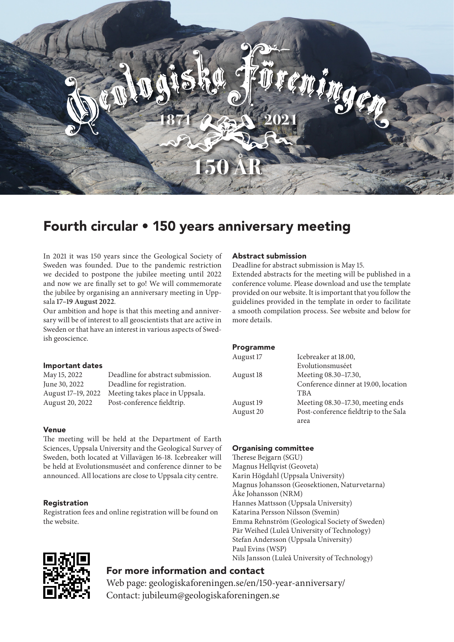

# Fourth circular • 150 years anniversary meeting

In 2021 it was 150 years since the Geological Society of Sweden was founded. Due to the pandemic restriction we decided to postpone the jubilee meeting until 2022 and now we are finally set to go! We will commemorate the jubilee by organising an anniversary meeting in Uppsala **17–19 August 2022**.

Our ambition and hope is that this meeting and anniversary will be of interest to all geoscientists that are active in Sweden or that have an interest in various aspects of Swedish geoscience.

#### Important dates

| May 15, 2022       | Deadline for abstract submission. |
|--------------------|-----------------------------------|
| June 30, 2022      | Deadline for registration.        |
| August 17-19, 2022 | Meeting takes place in Uppsala.   |
| August 20, 2022    | Post-conference fieldtrip.        |

#### Venue

The meeting will be held at the Department of Earth Sciences, Uppsala University and the Geological Survey of Sweden, both located at Villavägen 16-18. Icebreaker will be held at Evolutionsmuséet and conference dinner to be announced. All locations are close to Uppsala city centre.

#### Registration

Registration fees and online registration will be found on the website.

#### Abstract submission

Deadline for abstract submission is May 15.

Extended abstracts for the meeting will be published in a conference volume. Please download and use the template provided on our website. It is important that you follow the guidelines provided in the template in order to facilitate a smooth compilation process. See website and below for more details.

#### **Programme**

| August 17 | Icebreaker at 18.00,                  |
|-----------|---------------------------------------|
|           | Evolutionsmuséet                      |
| August 18 | Meeting 08.30-17.30,                  |
|           | Conference dinner at 19.00, location  |
|           | <b>TBA</b>                            |
| August 19 | Meeting 08.30-17.30, meeting ends     |
| August 20 | Post-conference fieldtrip to the Sala |
|           | area                                  |
|           |                                       |

#### Organising committee

Therese Bejgarn (SGU) Magnus Hellqvist (Geoveta) Karin Högdahl (Uppsala University) Magnus Johansson (Geosektionen, Naturvetarna) Åke Johansson (NRM) Hannes Mattsson (Uppsala University) Katarina Persson Nilsson (Svemin) Emma Rehnström (Geological Society of Sweden) Pär Weihed (Luleå University of Technology) Stefan Andersson (Uppsala University) Paul Evins (WSP) Nils Jansson (Luleå University of Technology)



# For more information and contact

Web page: geologiskaforeningen.se/en/150-year-anniversary/ Contact: jubileum@geologiskaforeningen.se